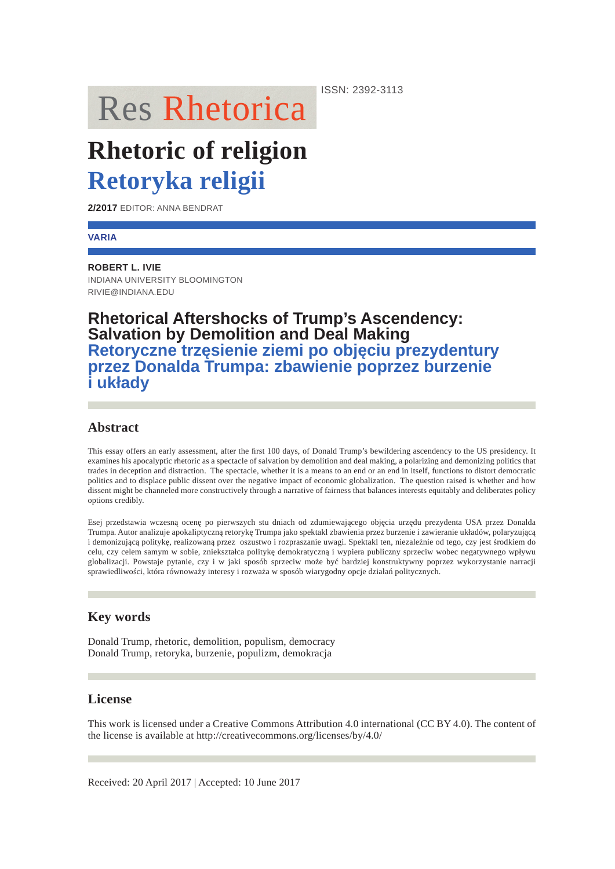**Res Rhetorica** 

# **Rhetoric of religion Retoryka religii**

**2/2017** EDITOR: ANNA BENDRAT

#### **VARIA**

**ROBERT L. IVIE** INDIANA UNIVERSITY BLOOMINGTON RIVIE@INDIANA.EDU

# **Rhetorical Aftershocks of Trump's Ascendency: Salvation by Demolition and Deal Making Retoryczne trzęsienie ziemi po objęciu prezydentury przez Donalda Trumpa: zbawienie poprzez burzenie i układy**

# **Abstract**

This essay offers an early assessment, after the first 100 days, of Donald Trump's bewildering ascendency to the US presidency. It examines his apocalyptic rhetoric as a spectacle of salvation by demolition and deal making, a polarizing and demonizing politics that trades in deception and distraction. The spectacle, whether it is a means to an end or an end in itself, functions to distort democratic politics and to displace public dissent over the negative impact of economic globalization. The question raised is whether and how dissent might be channeled more constructively through a narrative of fairness that balances interests equitably and deliberates policy options credibly.

Esej przedstawia wczesną ocenę po pierwszych stu dniach od zdumiewającego objęcia urzędu prezydenta USA przez Donalda Trumpa. Autor analizuje apokaliptyczną retorykę Trumpa jako spektakl zbawienia przez burzenie i zawieranie układów, polaryzującą i demonizującą politykę, realizowaną przez oszustwo i rozpraszanie uwagi. Spektakl ten, niezależnie od tego, czy jest środkiem do celu, czy celem samym w sobie, zniekształca politykę demokratyczną i wypiera publiczny sprzeciw wobec negatywnego wpływu globalizacji. Powstaje pytanie, czy i w jaki sposób sprzeciw może być bardziej konstruktywny poprzez wykorzystanie narracji sprawiedliwości, która równoważy interesy i rozważa w sposób wiarygodny opcje działań politycznych.

# **Key words**

Donald Trump, rhetoric, demolition, populism, democracy Donald Trump, retoryka, burzenie, populizm, demokracja

# **License**

This work is licensed under a Creative Commons Attribution 4.0 international (CC BY 4.0). The content of the license is available at http://creativecommons.org/licenses/by/4.0/

ISSN: 2392-3113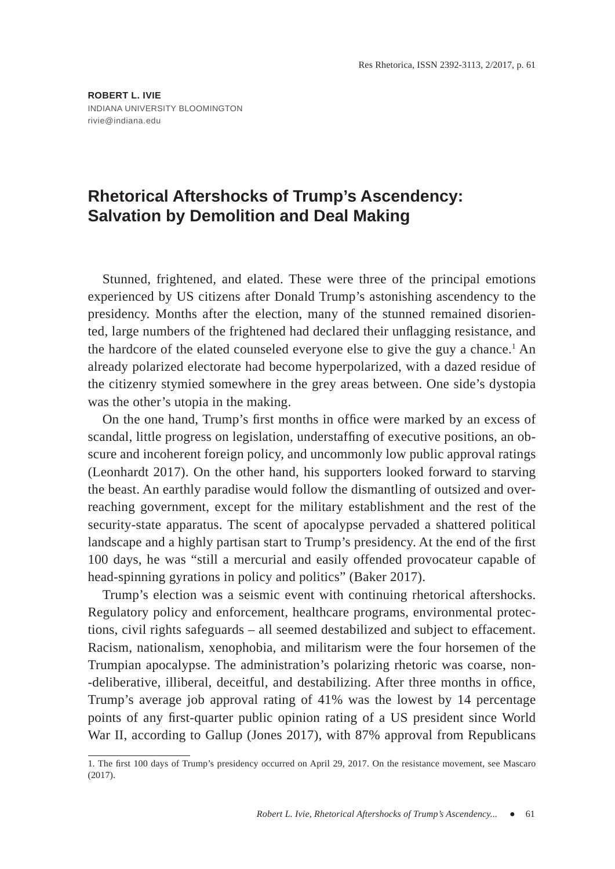# **Rhetorical Aftershocks of Trump's Ascendency: Salvation by Demolition and Deal Making**

Stunned, frightened, and elated. These were three of the principal emotions experienced by US citizens after Donald Trump's astonishing ascendency to the presidency. Months after the election, many of the stunned remained disoriented, large numbers of the frightened had declared their unflagging resistance, and the hardcore of the elated counseled everyone else to give the guy a chance.<sup>1</sup> An already polarized electorate had become hyperpolarized, with a dazed residue of the citizenry stymied somewhere in the grey areas between. One side's dystopia was the other's utopia in the making.

On the one hand, Trump's first months in office were marked by an excess of scandal, little progress on legislation, understaffing of executive positions, an obscure and incoherent foreign policy, and uncommonly low public approval ratings (Leonhardt 2017). On the other hand, his supporters looked forward to starving the beast. An earthly paradise would follow the dismantling of outsized and overreaching government, except for the military establishment and the rest of the security-state apparatus. The scent of apocalypse pervaded a shattered political landscape and a highly partisan start to Trump's presidency. At the end of the first 100 days, he was "still a mercurial and easily offended provocateur capable of head-spinning gyrations in policy and politics" (Baker 2017).

Trump's election was a seismic event with continuing rhetorical aftershocks. Regulatory policy and enforcement, healthcare programs, environmental protections, civil rights safeguards – all seemed destabilized and subject to effacement. Racism, nationalism, xenophobia, and militarism were the four horsemen of the Trumpian apocalypse. The administration's polarizing rhetoric was coarse, non- -deliberative, illiberal, deceitful, and destabilizing. After three months in office, Trump's average job approval rating of 41% was the lowest by 14 percentage points of any first-quarter public opinion rating of a US president since World War II, according to Gallup (Jones 2017), with 87% approval from Republicans

<sup>1.</sup> The first 100 days of Trump's presidency occurred on April 29, 2017. On the resistance movement, see Mascaro (2017).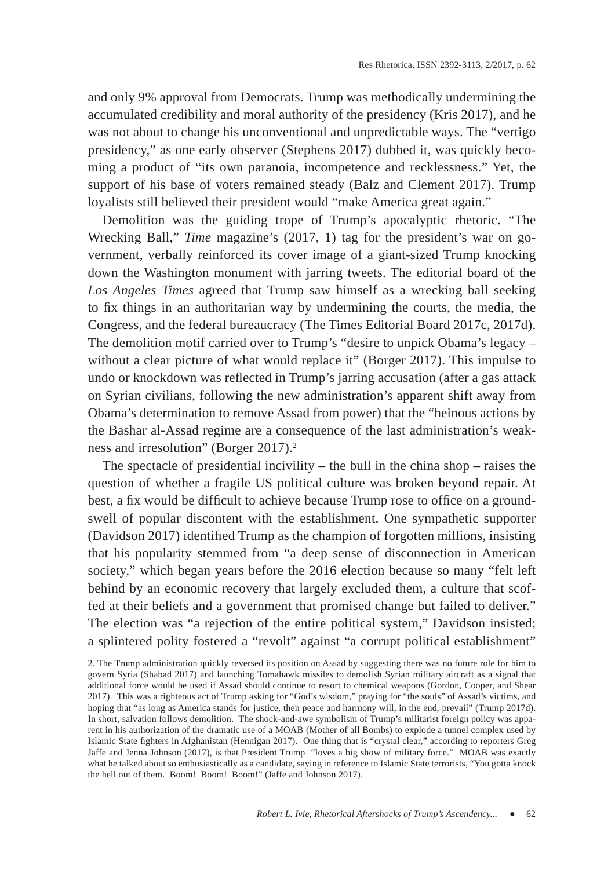and only 9% approval from Democrats. Trump was methodically undermining the accumulated credibility and moral authority of the presidency (Kris 2017), and he was not about to change his unconventional and unpredictable ways. The "vertigo presidency," as one early observer (Stephens 2017) dubbed it, was quickly becoming a product of "its own paranoia, incompetence and recklessness." Yet, the support of his base of voters remained steady (Balz and Clement 2017). Trump loyalists still believed their president would "make America great again."

Demolition was the guiding trope of Trump's apocalyptic rhetoric. "The Wrecking Ball," *Time* magazine's (2017, 1) tag for the president's war on government, verbally reinforced its cover image of a giant-sized Trump knocking down the Washington monument with jarring tweets. The editorial board of the *Los Angeles Times* agreed that Trump saw himself as a wrecking ball seeking to fix things in an authoritarian way by undermining the courts, the media, the Congress, and the federal bureaucracy (The Times Editorial Board 2017c, 2017d). The demolition motif carried over to Trump's "desire to unpick Obama's legacy – without a clear picture of what would replace it" (Borger 2017). This impulse to undo or knockdown was reflected in Trump's jarring accusation (after a gas attack on Syrian civilians, following the new administration's apparent shift away from Obama's determination to remove Assad from power) that the "heinous actions by the Bashar al-Assad regime are a consequence of the last administration's weakness and irresolution" (Borger 2017).<sup>2</sup>

The spectacle of presidential incivility  $-$  the bull in the china shop  $-$  raises the question of whether a fragile US political culture was broken beyond repair. At best, a fix would be difficult to achieve because Trump rose to office on a groundswell of popular discontent with the establishment. One sympathetic supporter (Davidson 2017) identified Trump as the champion of forgotten millions, insisting that his popularity stemmed from "a deep sense of disconnection in American society," which began years before the 2016 election because so many "felt left behind by an economic recovery that largely excluded them, a culture that scoffed at their beliefs and a government that promised change but failed to deliver." The election was "a rejection of the entire political system," Davidson insisted; a splintered polity fostered a "revolt" against "a corrupt political establishment"

<sup>2.</sup> The Trump administration quickly reversed its position on Assad by suggesting there was no future role for him to govern Syria (Shabad 2017) and launching Tomahawk missiles to demolish Syrian military aircraft as a signal that additional force would be used if Assad should continue to resort to chemical weapons (Gordon, Cooper, and Shear 2017). This was a righteous act of Trump asking for "God's wisdom," praying for "the souls" of Assad's victims, and hoping that "as long as America stands for justice, then peace and harmony will, in the end, prevail" (Trump 2017d). In short, salvation follows demolition. The shock-and-awe symbolism of Trump's militarist foreign policy was apparent in his authorization of the dramatic use of a MOAB (Mother of all Bombs) to explode a tunnel complex used by Islamic State fighters in Afghanistan (Hennigan 2017). One thing that is "crystal clear," according to reporters Greg Jaffe and Jenna Johnson (2017), is that President Trump "loves a big show of military force." MOAB was exactly what he talked about so enthusiastically as a candidate, saying in reference to Islamic State terrorists, "You gotta knock the hell out of them. Boom! Boom! Boom!" (Jaffe and Johnson 2017).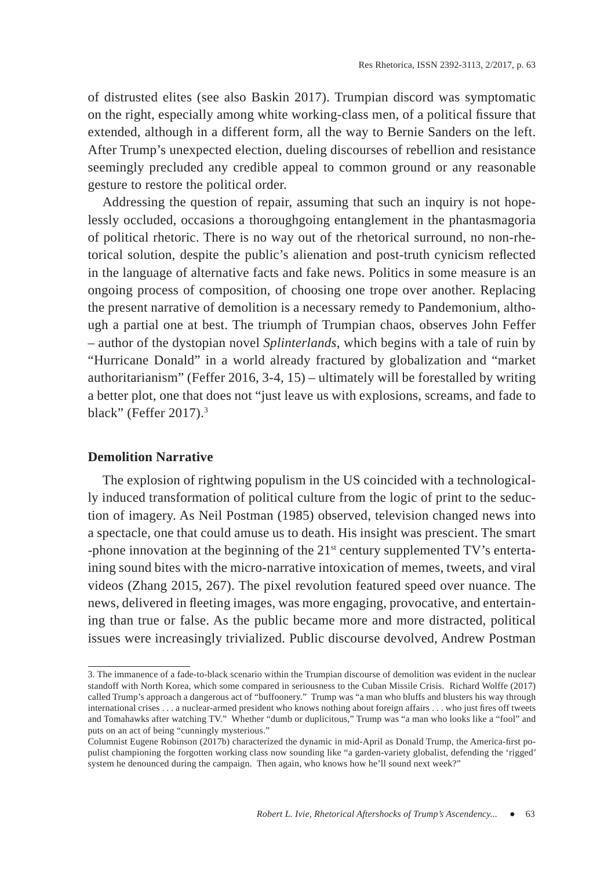of distrusted elites (see also Baskin 2017). Trumpian discord was symptomatic on the right, especially among white working-class men, of a political fissure that extended, although in a different form, all the way to Bernie Sanders on the left. After Trump's unexpected election, dueling discourses of rebellion and resistance seemingly precluded any credible appeal to common ground or any reasonable gesture to restore the political order.

Addressing the question of repair, assuming that such an inquiry is not hopelessly occluded, occasions a thoroughgoing entanglement in the phantasmagoria of political rhetoric. There is no way out of the rhetorical surround, no non-rhetorical solution, despite the public's alienation and post-truth cynicism reflected in the language of alternative facts and fake news. Politics in some measure is an ongoing process of composition, of choosing one trope over another. Replacing the present narrative of demolition is a necessary remedy to Pandemonium, although a partial one at best. The triumph of Trumpian chaos, observes John Feffer – author of the dystopian novel *Splinterlands*, which begins with a tale of ruin by "Hurricane Donald" in a world already fractured by globalization and "market authoritarianism" (Feffer 2016, 3-4, 15) – ultimately will be forestalled by writing a better plot, one that does not "just leave us with explosions, screams, and fade to black" (Feffer 2017).<sup>3</sup>

#### **Demolition Narrative**

The explosion of rightwing populism in the US coincided with a technologically induced transformation of political culture from the logic of print to the seduction of imagery. As Neil Postman (1985) observed, television changed news into a spectacle, one that could amuse us to death. His insight was prescient. The smart -phone innovation at the beginning of the  $21<sup>st</sup>$  century supplemented TV's entertaining sound bites with the micro-narrative intoxication of memes, tweets, and viral videos (Zhang 2015, 267). The pixel revolution featured speed over nuance. The news, delivered in fleeting images, was more engaging, provocative, and entertaining than true or false. As the public became more and more distracted, political issues were increasingly trivialized. Public discourse devolved, Andrew Postman

<sup>3.</sup> The immanence of a fade-to-black scenario within the Trumpian discourse of demolition was evident in the nuclear standoff with North Korea, which some compared in seriousness to the Cuban Missile Crisis. Richard Wolffe (2017) called Trump's approach a dangerous act of "buffoonery." Trump was "a man who bluffs and blusters his way through international crises . . . a nuclear-armed president who knows nothing about foreign affairs . . . who just fires off tweets and Tomahawks after watching TV." Whether "dumb or duplicitous," Trump was "a man who looks like a "fool" and puts on an act of being "cunningly mysterious."

<sup>.&</sup>lt;br>Columnist Eugene Robinson (2017b) characterized the dynamic in mid-April as Donald Trump, the America-first populist championing the forgotten working class now sounding like "a garden-variety globalist, defending the 'rigged' system he denounced during the campaign. Then again, who knows how he'll sound next week?"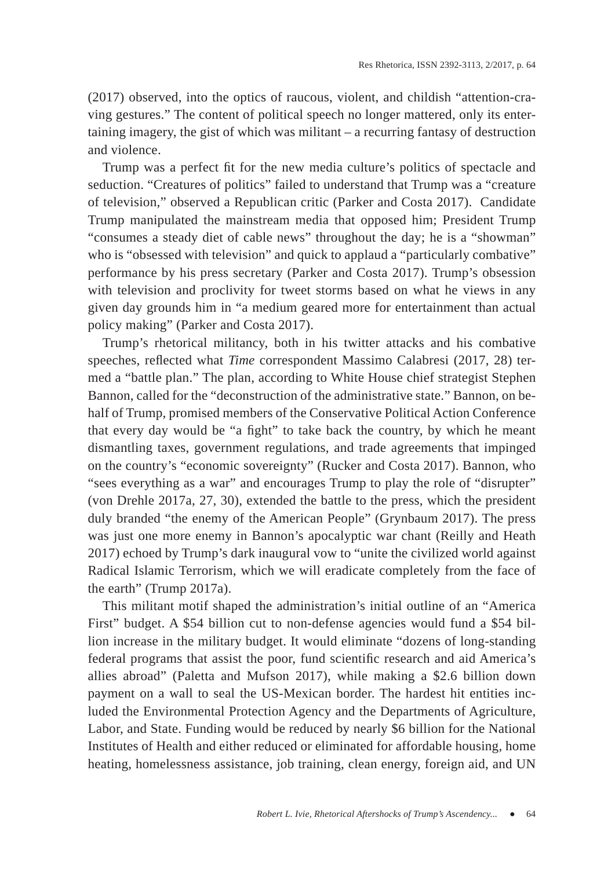(2017) observed, into the optics of raucous, violent, and childish "attention-craving gestures." The content of political speech no longer mattered, only its entertaining imagery, the gist of which was militant – a recurring fantasy of destruction and violence.

Trump was a perfect fit for the new media culture's politics of spectacle and seduction. "Creatures of politics" failed to understand that Trump was a "creature of television," observed a Republican critic (Parker and Costa 2017). Candidate Trump manipulated the mainstream media that opposed him; President Trump "consumes a steady diet of cable news" throughout the day; he is a "showman" who is "obsessed with television" and quick to applaud a "particularly combative" performance by his press secretary (Parker and Costa 2017). Trump's obsession with television and proclivity for tweet storms based on what he views in any given day grounds him in "a medium geared more for entertainment than actual policy making" (Parker and Costa 2017).

Trump's rhetorical militancy, both in his twitter attacks and his combative speeches, reflected what *Time* correspondent Massimo Calabresi (2017, 28) termed a "battle plan." The plan, according to White House chief strategist Stephen Bannon, called for the "deconstruction of the administrative state." Bannon, on behalf of Trump, promised members of the Conservative Political Action Conference that every day would be "a fight" to take back the country, by which he meant dismantling taxes, government regulations, and trade agreements that impinged on the country's "economic sovereignty" (Rucker and Costa 2017). Bannon, who "sees everything as a war" and encourages Trump to play the role of "disrupter" (von Drehle 2017a, 27, 30), extended the battle to the press, which the president duly branded "the enemy of the American People" (Grynbaum 2017). The press was just one more enemy in Bannon's apocalyptic war chant (Reilly and Heath 2017) echoed by Trump's dark inaugural vow to "unite the civilized world against Radical Islamic Terrorism, which we will eradicate completely from the face of the earth" (Trump 2017a).

This militant motif shaped the administration's initial outline of an "America First" budget. A \$54 billion cut to non-defense agencies would fund a \$54 billion increase in the military budget. It would eliminate "dozens of long-standing federal programs that assist the poor, fund scientific research and aid America's allies abroad" (Paletta and Mufson 2017), while making a \$2.6 billion down payment on a wall to seal the US-Mexican border. The hardest hit entities included the Environmental Protection Agency and the Departments of Agriculture, Labor, and State. Funding would be reduced by nearly \$6 billion for the National Institutes of Health and either reduced or eliminated for affordable housing, home heating, homelessness assistance, job training, clean energy, foreign aid, and UN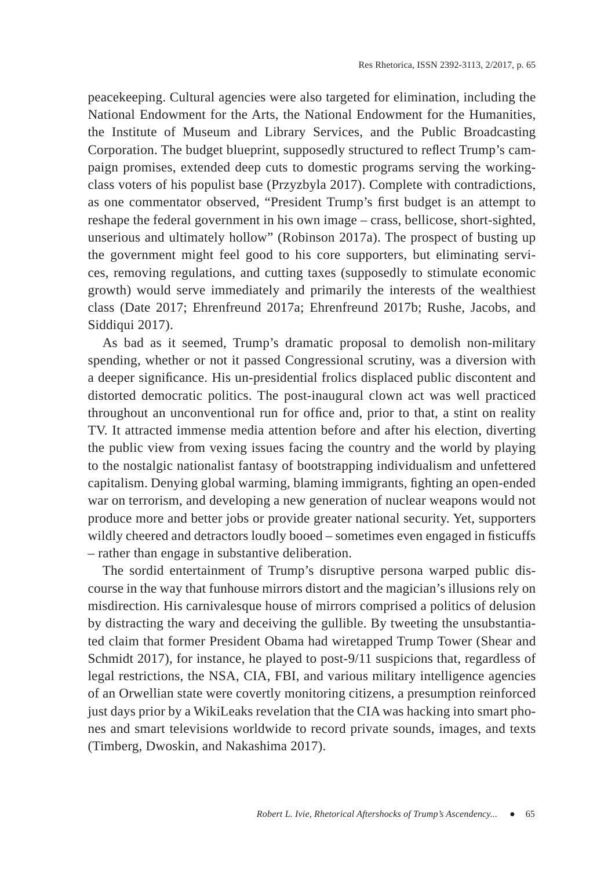peacekeeping. Cultural agencies were also targeted for elimination, including the National Endowment for the Arts, the National Endowment for the Humanities, the Institute of Museum and Library Services, and the Public Broadcasting Corporation. The budget blueprint, supposedly structured to reflect Trump's campaign promises, extended deep cuts to domestic programs serving the workingclass voters of his populist base (Przyzbyla 2017). Complete with contradictions, as one commentator observed, "President Trump's first budget is an attempt to reshape the federal government in his own image – crass, bellicose, short-sighted, unserious and ultimately hollow" (Robinson 2017a). The prospect of busting up the government might feel good to his core supporters, but eliminating services, removing regulations, and cutting taxes (supposedly to stimulate economic growth) would serve immediately and primarily the interests of the wealthiest class (Date 2017; Ehrenfreund 2017a; Ehrenfreund 2017b; Rushe, Jacobs, and Siddiqui 2017).

As bad as it seemed, Trump's dramatic proposal to demolish non-military spending, whether or not it passed Congressional scrutiny, was a diversion with a deeper significance. His un-presidential frolics displaced public discontent and distorted democratic politics. The post-inaugural clown act was well practiced throughout an unconventional run for office and, prior to that, a stint on reality TV. It attracted immense media attention before and after his election, diverting the public view from vexing issues facing the country and the world by playing to the nostalgic nationalist fantasy of bootstrapping individualism and unfettered capitalism. Denying global warming, blaming immigrants, fighting an open-ended war on terrorism, and developing a new generation of nuclear weapons would not produce more and better jobs or provide greater national security. Yet, supporters wildly cheered and detractors loudly booed – sometimes even engaged in fisticuffs – rather than engage in substantive deliberation.

The sordid entertainment of Trump's disruptive persona warped public discourse in the way that funhouse mirrors distort and the magician's illusions rely on misdirection. His carnivalesque house of mirrors comprised a politics of delusion by distracting the wary and deceiving the gullible. By tweeting the unsubstantiated claim that former President Obama had wiretapped Trump Tower (Shear and Schmidt 2017), for instance, he played to post-9/11 suspicions that, regardless of legal restrictions, the NSA, CIA, FBI, and various military intelligence agencies of an Orwellian state were covertly monitoring citizens, a presumption reinforced just days prior by a WikiLeaks revelation that the CIA was hacking into smart phones and smart televisions worldwide to record private sounds, images, and texts (Timberg, Dwoskin, and Nakashima 2017).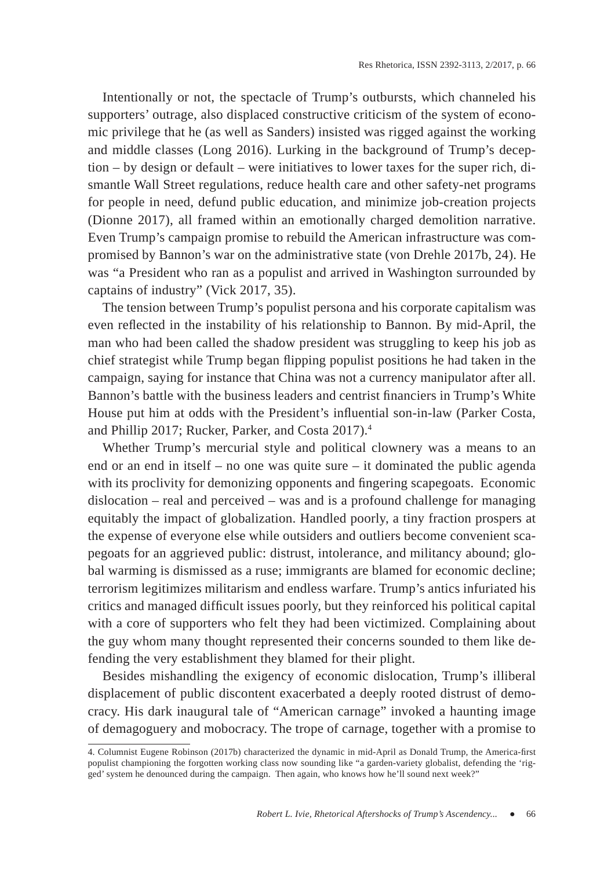Intentionally or not, the spectacle of Trump's outbursts, which channeled his supporters' outrage, also displaced constructive criticism of the system of economic privilege that he (as well as Sanders) insisted was rigged against the working and middle classes (Long 2016). Lurking in the background of Trump's deception – by design or default – were initiatives to lower taxes for the super rich, dismantle Wall Street regulations, reduce health care and other safety-net programs for people in need, defund public education, and minimize job-creation projects (Dionne 2017), all framed within an emotionally charged demolition narrative. Even Trump's campaign promise to rebuild the American infrastructure was compromised by Bannon's war on the administrative state (von Drehle 2017b, 24). He was "a President who ran as a populist and arrived in Washington surrounded by captains of industry" (Vick 2017, 35).

The tension between Trump's populist persona and his corporate capitalism was even reflected in the instability of his relationship to Bannon. By mid-April, the man who had been called the shadow president was struggling to keep his job as chief strategist while Trump began flipping populist positions he had taken in the campaign, saying for instance that China was not a currency manipulator after all. Bannon's battle with the business leaders and centrist financiers in Trump's White House put him at odds with the President's influential son-in-law (Parker Costa, and Phillip 2017; Rucker, Parker, and Costa 2017).4

Whether Trump's mercurial style and political clownery was a means to an end or an end in itself – no one was quite sure – it dominated the public agenda with its proclivity for demonizing opponents and fingering scapegoats. Economic dislocation – real and perceived – was and is a profound challenge for managing equitably the impact of globalization. Handled poorly, a tiny fraction prospers at the expense of everyone else while outsiders and outliers become convenient scapegoats for an aggrieved public: distrust, intolerance, and militancy abound; global warming is dismissed as a ruse; immigrants are blamed for economic decline; terrorism legitimizes militarism and endless warfare. Trump's antics infuriated his critics and managed difficult issues poorly, but they reinforced his political capital with a core of supporters who felt they had been victimized. Complaining about the guy whom many thought represented their concerns sounded to them like defending the very establishment they blamed for their plight.

Besides mishandling the exigency of economic dislocation, Trump's illiberal displacement of public discontent exacerbated a deeply rooted distrust of democracy. His dark inaugural tale of "American carnage" invoked a haunting image of demagoguery and mobocracy. The trope of carnage, together with a promise to

<sup>4.</sup> Columnist Eugene Robinson (2017b) characterized the dynamic in mid-April as Donald Trump, the America-first populist championing the forgotten working class now sounding like "a garden-variety globalist, defending the 'rigged' system he denounced during the campaign. Then again, who knows how he'll sound next week?"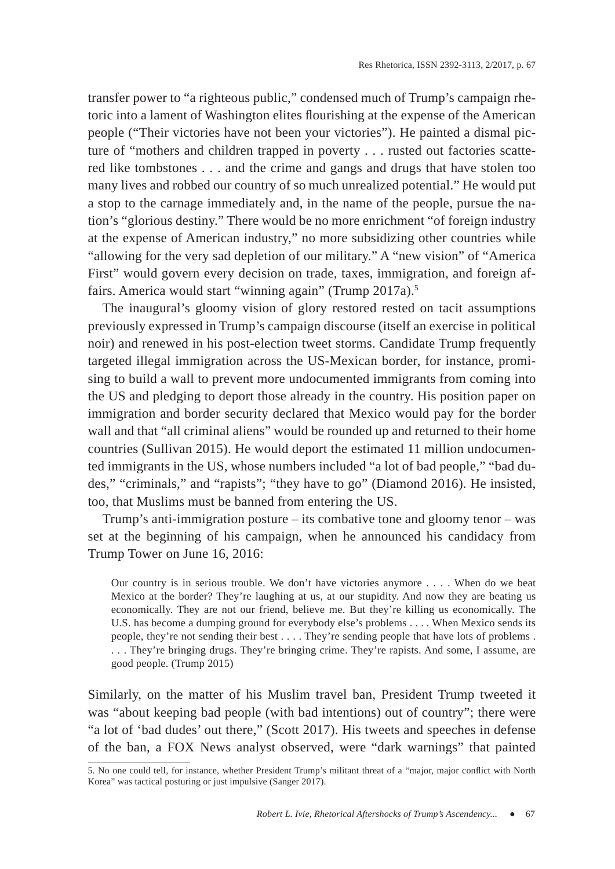transfer power to "a righteous public," condensed much of Trump's campaign rhetoric into a lament of Washington elites flourishing at the expense of the American people ("Their victories have not been your victories"). He painted a dismal picture of "mothers and children trapped in poverty . . . rusted out factories scattered like tombstones . . . and the crime and gangs and drugs that have stolen too many lives and robbed our country of so much unrealized potential." He would put a stop to the carnage immediately and, in the name of the people, pursue the nation's "glorious destiny." There would be no more enrichment "of foreign industry at the expense of American industry," no more subsidizing other countries while "allowing for the very sad depletion of our military." A "new vision" of "America First" would govern every decision on trade, taxes, immigration, and foreign affairs. America would start "winning again" (Trump 2017a).<sup>5</sup>

The inaugural's gloomy vision of glory restored rested on tacit assumptions previously expressed in Trump's campaign discourse (itself an exercise in political noir) and renewed in his post-election tweet storms. Candidate Trump frequently targeted illegal immigration across the US-Mexican border, for instance, promising to build a wall to prevent more undocumented immigrants from coming into the US and pledging to deport those already in the country. His position paper on immigration and border security declared that Mexico would pay for the border wall and that "all criminal aliens" would be rounded up and returned to their home countries (Sullivan 2015). He would deport the estimated 11 million undocumented immigrants in the US, whose numbers included "a lot of bad people," "bad dudes," "criminals," and "rapists"; "they have to go" (Diamond 2016). He insisted, too, that Muslims must be banned from entering the US.

Trump's anti-immigration posture  $-$  its combative tone and gloomy tenor  $-$  was set at the beginning of his campaign, when he announced his candidacy from Trump Tower on June 16, 2016:

Our country is in serious trouble. We don't have victories anymore . . . . When do we beat Mexico at the border? They're laughing at us, at our stupidity. And now they are beating us economically. They are not our friend, believe me. But they're killing us economically. The U.S. has become a dumping ground for everybody else's problems . . . . When Mexico sends its people, they're not sending their best . . . . They're sending people that have lots of problems . . . . They're bringing drugs. They're bringing crime. They're rapists. And some, I assume, are good people. (Trump 2015)

Similarly, on the matter of his Muslim travel ban, President Trump tweeted it was "about keeping bad people (with bad intentions) out of country"; there were "a lot of 'bad dudes' out there," (Scott 2017). His tweets and speeches in defense of the ban, a FOX News analyst observed, were "dark warnings" that painted

<sup>5.</sup> No one could tell, for instance, whether President Trump's militant threat of a "major, major conflict with North Korea" was tactical posturing or just impulsive (Sanger 2017).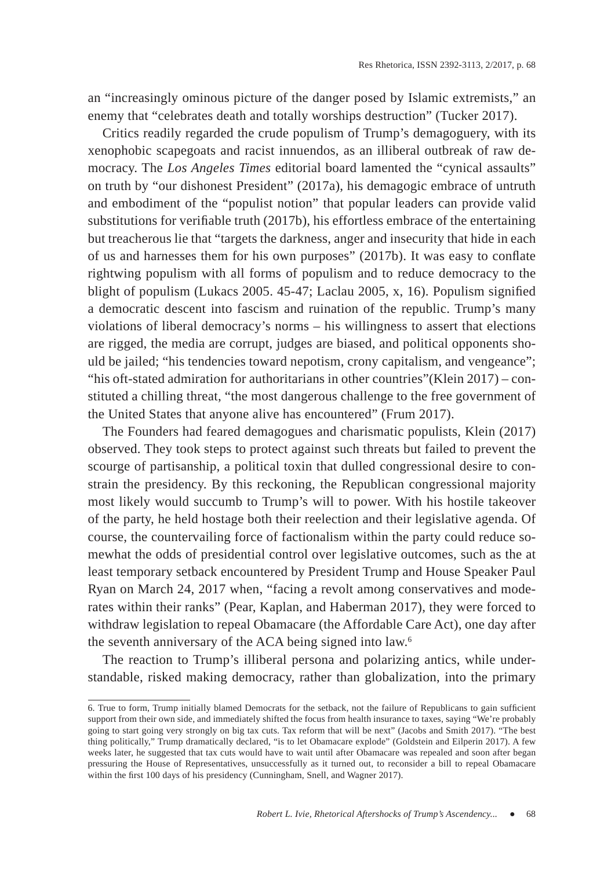an "increasingly ominous picture of the danger posed by Islamic extremists," an enemy that "celebrates death and totally worships destruction" (Tucker 2017).

Critics readily regarded the crude populism of Trump's demagoguery, with its xenophobic scapegoats and racist innuendos, as an illiberal outbreak of raw democracy. The *Los Angeles Times* editorial board lamented the "cynical assaults" on truth by "our dishonest President" (2017a), his demagogic embrace of untruth and embodiment of the "populist notion" that popular leaders can provide valid substitutions for verifiable truth (2017b), his effortless embrace of the entertaining but treacherous lie that "targets the darkness, anger and insecurity that hide in each of us and harnesses them for his own purposes" (2017b). It was easy to conflate rightwing populism with all forms of populism and to reduce democracy to the blight of populism (Lukacs 2005. 45-47; Laclau 2005, x, 16). Populism signified a democratic descent into fascism and ruination of the republic. Trump's many violations of liberal democracy's norms – his willingness to assert that elections are rigged, the media are corrupt, judges are biased, and political opponents should be jailed; "his tendencies toward nepotism, crony capitalism, and vengeance"; "his oft-stated admiration for authoritarians in other countries"(Klein 2017) – constituted a chilling threat, "the most dangerous challenge to the free government of the United States that anyone alive has encountered" (Frum 2017).

The Founders had feared demagogues and charismatic populists, Klein (2017) observed. They took steps to protect against such threats but failed to prevent the scourge of partisanship, a political toxin that dulled congressional desire to constrain the presidency. By this reckoning, the Republican congressional majority most likely would succumb to Trump's will to power. With his hostile takeover of the party, he held hostage both their reelection and their legislative agenda. Of course, the countervailing force of factionalism within the party could reduce somewhat the odds of presidential control over legislative outcomes, such as the at least temporary setback encountered by President Trump and House Speaker Paul Ryan on March 24, 2017 when, "facing a revolt among conservatives and moderates within their ranks" (Pear, Kaplan, and Haberman 2017), they were forced to withdraw legislation to repeal Obamacare (the Affordable Care Act), one day after the seventh anniversary of the ACA being signed into law.6

The reaction to Trump's illiberal persona and polarizing antics, while understandable, risked making democracy, rather than globalization, into the primary

<sup>6.</sup> True to form, Trump initially blamed Democrats for the setback, not the failure of Republicans to gain sufficient support from their own side, and immediately shifted the focus from health insurance to taxes, saying "We're probably going to start going very strongly on big tax cuts. Tax reform that will be next" (Jacobs and Smith 2017). "The best thing politically," Trump dramatically declared, "is to let Obamacare explode" (Goldstein and Eilperin 2017). A few weeks later, he suggested that tax cuts would have to wait until after Obamacare was repealed and soon after began pressuring the House of Representatives, unsuccessfully as it turned out, to reconsider a bill to repeal Obamacare within the first 100 days of his presidency (Cunningham, Snell, and Wagner 2017).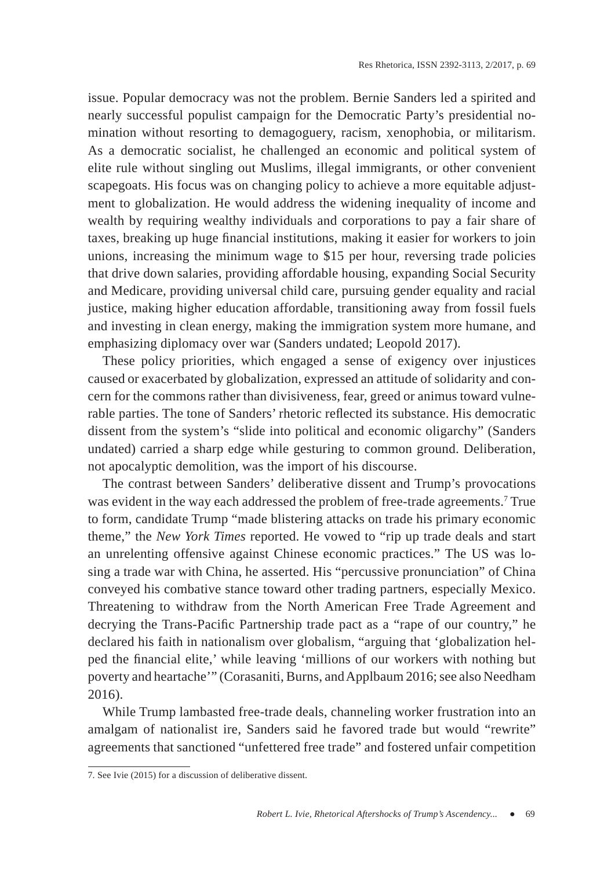issue. Popular democracy was not the problem. Bernie Sanders led a spirited and nearly successful populist campaign for the Democratic Party's presidential nomination without resorting to demagoguery, racism, xenophobia, or militarism. As a democratic socialist, he challenged an economic and political system of elite rule without singling out Muslims, illegal immigrants, or other convenient scapegoats. His focus was on changing policy to achieve a more equitable adjustment to globalization. He would address the widening inequality of income and wealth by requiring wealthy individuals and corporations to pay a fair share of taxes, breaking up huge financial institutions, making it easier for workers to join unions, increasing the minimum wage to \$15 per hour, reversing trade policies that drive down salaries, providing affordable housing, expanding Social Security and Medicare, providing universal child care, pursuing gender equality and racial justice, making higher education affordable, transitioning away from fossil fuels and investing in clean energy, making the immigration system more humane, and emphasizing diplomacy over war (Sanders undated; Leopold 2017).

These policy priorities, which engaged a sense of exigency over injustices caused or exacerbated by globalization, expressed an attitude of solidarity and concern for the commons rather than divisiveness, fear, greed or animus toward vulnerable parties. The tone of Sanders' rhetoric reflected its substance. His democratic dissent from the system's "slide into political and economic oligarchy" (Sanders undated) carried a sharp edge while gesturing to common ground. Deliberation, not apocalyptic demolition, was the import of his discourse.

The contrast between Sanders' deliberative dissent and Trump's provocations was evident in the way each addressed the problem of free-trade agreements.<sup>7</sup> True to form, candidate Trump "made blistering attacks on trade his primary economic theme," the *New York Times* reported. He vowed to "rip up trade deals and start an unrelenting offensive against Chinese economic practices." The US was losing a trade war with China, he asserted. His "percussive pronunciation" of China conveyed his combative stance toward other trading partners, especially Mexico. Threatening to withdraw from the North American Free Trade Agreement and decrying the Trans-Pacific Partnership trade pact as a "rape of our country," he declared his faith in nationalism over globalism, "arguing that 'globalization helped the financial elite,' while leaving 'millions of our workers with nothing but poverty and heartache'" (Corasaniti, Burns, and Applbaum 2016; see also Needham 2016).

While Trump lambasted free-trade deals, channeling worker frustration into an amalgam of nationalist ire, Sanders said he favored trade but would "rewrite" agreements that sanctioned "unfettered free trade" and fostered unfair competition

<sup>7.</sup> See Ivie (2015) for a discussion of deliberative dissent.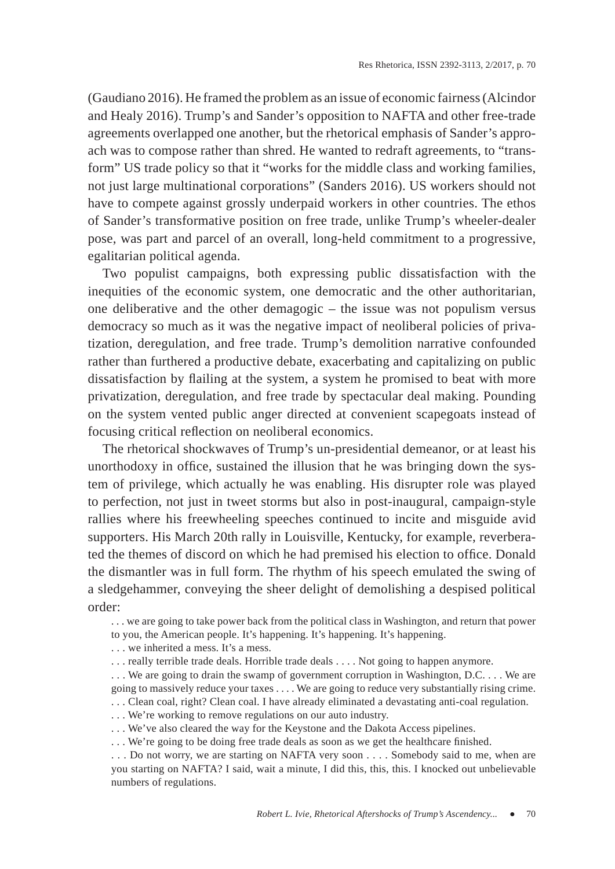(Gaudiano 2016). He framed the problem as an issue of economic fairness (Alcindor and Healy 2016). Trump's and Sander's opposition to NAFTA and other free-trade agreements overlapped one another, but the rhetorical emphasis of Sander's approach was to compose rather than shred. He wanted to redraft agreements, to "transform" US trade policy so that it "works for the middle class and working families, not just large multinational corporations" (Sanders 2016). US workers should not have to compete against grossly underpaid workers in other countries. The ethos of Sander's transformative position on free trade, unlike Trump's wheeler-dealer pose, was part and parcel of an overall, long-held commitment to a progressive, egalitarian political agenda.

Two populist campaigns, both expressing public dissatisfaction with the inequities of the economic system, one democratic and the other authoritarian, one deliberative and the other demagogic – the issue was not populism versus democracy so much as it was the negative impact of neoliberal policies of privatization, deregulation, and free trade. Trump's demolition narrative confounded rather than furthered a productive debate, exacerbating and capitalizing on public dissatisfaction by flailing at the system, a system he promised to beat with more privatization, deregulation, and free trade by spectacular deal making. Pounding on the system vented public anger directed at convenient scapegoats instead of focusing critical reflection on neoliberal economics.

The rhetorical shockwaves of Trump's un-presidential demeanor, or at least his unorthodoxy in office, sustained the illusion that he was bringing down the system of privilege, which actually he was enabling. His disrupter role was played to perfection, not just in tweet storms but also in post-inaugural, campaign-style rallies where his freewheeling speeches continued to incite and misguide avid supporters. His March 20th rally in Louisville, Kentucky, for example, reverberated the themes of discord on which he had premised his election to office. Donald the dismantler was in full form. The rhythm of his speech emulated the swing of a sledgehammer, conveying the sheer delight of demolishing a despised political order:

. . . we are going to take power back from the political class in Washington, and return that power to you, the American people. It's happening. It's happening. It's happening.

. . . we inherited a mess. It's a mess.

. . . really terrible trade deals. Horrible trade deals . . . . Not going to happen anymore.

. . . We are going to drain the swamp of government corruption in Washington, D.C. . . . We are going to massively reduce your taxes . . . . We are going to reduce very substantially rising crime. . . . Clean coal, right? Clean coal. I have already eliminated a devastating anti-coal regulation.

. . . We're working to remove regulations on our auto industry.

. . . We've also cleared the way for the Keystone and the Dakota Access pipelines.

... We're going to be doing free trade deals as soon as we get the healthcare finished.

. . . Do not worry, we are starting on NAFTA very soon . . . . Somebody said to me, when are you starting on NAFTA? I said, wait a minute, I did this, this, this. I knocked out unbelievable numbers of regulations.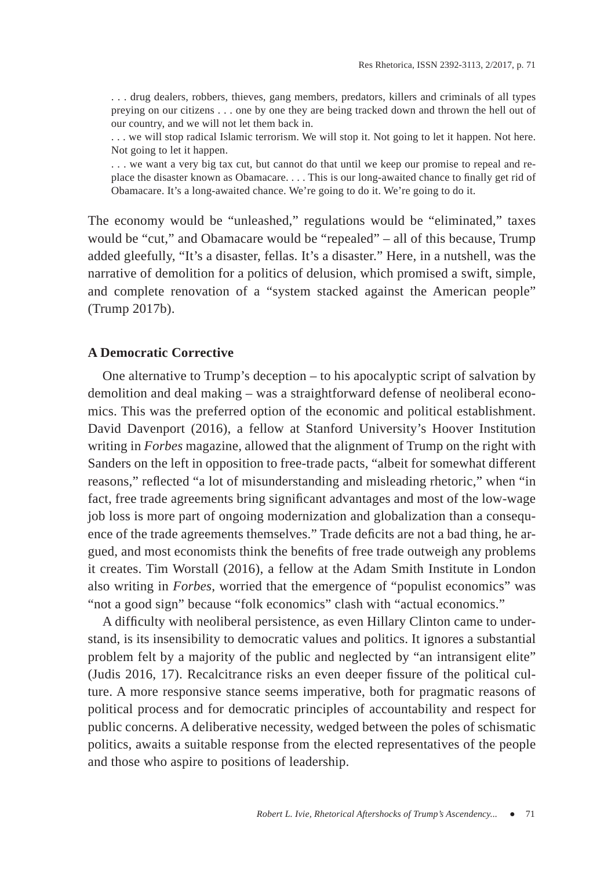. . . drug dealers, robbers, thieves, gang members, predators, killers and criminals of all types preying on our citizens . . . one by one they are being tracked down and thrown the hell out of our country, and we will not let them back in.

. . . we will stop radical Islamic terrorism. We will stop it. Not going to let it happen. Not here. Not going to let it happen.

. . . we want a very big tax cut, but cannot do that until we keep our promise to repeal and replace the disaster known as Obamacare.  $\dots$  This is our long-awaited chance to finally get rid of Obamacare. It's a long-awaited chance. We're going to do it. We're going to do it.

The economy would be "unleashed," regulations would be "eliminated," taxes would be "cut," and Obamacare would be "repealed" – all of this because, Trump added gleefully, "It's a disaster, fellas. It's a disaster." Here, in a nutshell, was the narrative of demolition for a politics of delusion, which promised a swift, simple, and complete renovation of a "system stacked against the American people" (Trump 2017b).

### **A Democratic Corrective**

One alternative to Trump's deception – to his apocalyptic script of salvation by demolition and deal making – was a straightforward defense of neoliberal economics. This was the preferred option of the economic and political establishment. David Davenport (2016), a fellow at Stanford University's Hoover Institution writing in *Forbes* magazine, allowed that the alignment of Trump on the right with Sanders on the left in opposition to free-trade pacts, "albeit for somewhat different reasons," reflected "a lot of misunderstanding and misleading rhetoric," when "in fact, free trade agreements bring significant advantages and most of the low-wage job loss is more part of ongoing modernization and globalization than a consequence of the trade agreements themselves." Trade deficits are not a bad thing, he argued, and most economists think the benefits of free trade outweigh any problems it creates. Tim Worstall (2016), a fellow at the Adam Smith Institute in London also writing in *Forbes*, worried that the emergence of "populist economics" was "not a good sign" because "folk economics" clash with "actual economics."

A difficulty with neoliberal persistence, as even Hillary Clinton came to understand, is its insensibility to democratic values and politics. It ignores a substantial problem felt by a majority of the public and neglected by "an intransigent elite" (Judis 2016, 17). Recalcitrance risks an even deeper fissure of the political culture. A more responsive stance seems imperative, both for pragmatic reasons of political process and for democratic principles of accountability and respect for public concerns. A deliberative necessity, wedged between the poles of schismatic politics, awaits a suitable response from the elected representatives of the people and those who aspire to positions of leadership.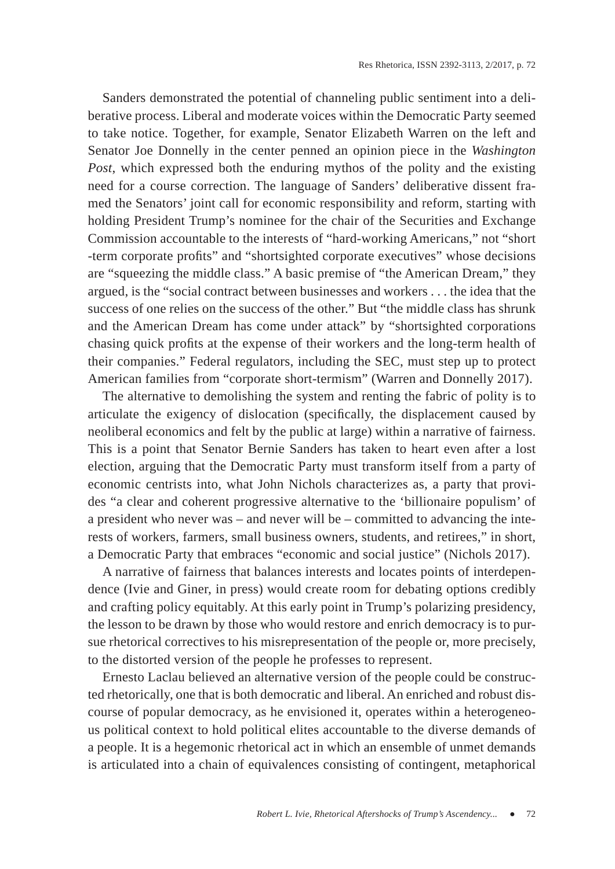Sanders demonstrated the potential of channeling public sentiment into a deliberative process. Liberal and moderate voices within the Democratic Party seemed to take notice. Together, for example, Senator Elizabeth Warren on the left and Senator Joe Donnelly in the center penned an opinion piece in the *Washington Post*, which expressed both the enduring mythos of the polity and the existing need for a course correction. The language of Sanders' deliberative dissent framed the Senators' joint call for economic responsibility and reform, starting with holding President Trump's nominee for the chair of the Securities and Exchange Commission accountable to the interests of "hard-working Americans," not "short -term corporate profits" and "shortsighted corporate executives" whose decisions are "squeezing the middle class." A basic premise of "the American Dream," they argued, is the "social contract between businesses and workers . . . the idea that the success of one relies on the success of the other." But "the middle class has shrunk and the American Dream has come under attack" by "shortsighted corporations chasing quick profits at the expense of their workers and the long-term health of their companies." Federal regulators, including the SEC, must step up to protect American families from "corporate short-termism" (Warren and Donnelly 2017).

The alternative to demolishing the system and renting the fabric of polity is to articulate the exigency of dislocation (specifically, the displacement caused by neoliberal economics and felt by the public at large) within a narrative of fairness. This is a point that Senator Bernie Sanders has taken to heart even after a lost election, arguing that the Democratic Party must transform itself from a party of economic centrists into, what John Nichols characterizes as, a party that provides "a clear and coherent progressive alternative to the 'billionaire populism' of a president who never was – and never will be – committed to advancing the interests of workers, farmers, small business owners, students, and retirees," in short, a Democratic Party that embraces "economic and social justice" (Nichols 2017).

A narrative of fairness that balances interests and locates points of interdependence (Ivie and Giner, in press) would create room for debating options credibly and crafting policy equitably. At this early point in Trump's polarizing presidency, the lesson to be drawn by those who would restore and enrich democracy is to pursue rhetorical correctives to his misrepresentation of the people or, more precisely, to the distorted version of the people he professes to represent.

Ernesto Laclau believed an alternative version of the people could be constructed rhetorically, one that is both democratic and liberal. An enriched and robust discourse of popular democracy, as he envisioned it, operates within a heterogeneous political context to hold political elites accountable to the diverse demands of a people. It is a hegemonic rhetorical act in which an ensemble of unmet demands is articulated into a chain of equivalences consisting of contingent, metaphorical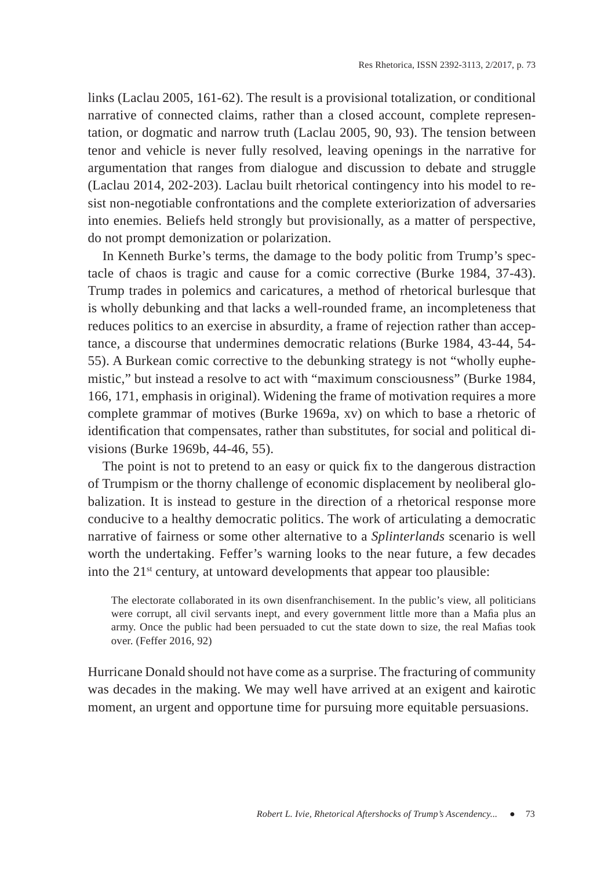links (Laclau 2005, 161-62). The result is a provisional totalization, or conditional narrative of connected claims, rather than a closed account, complete representation, or dogmatic and narrow truth (Laclau 2005, 90, 93). The tension between tenor and vehicle is never fully resolved, leaving openings in the narrative for argumentation that ranges from dialogue and discussion to debate and struggle (Laclau 2014, 202-203). Laclau built rhetorical contingency into his model to resist non-negotiable confrontations and the complete exteriorization of adversaries into enemies. Beliefs held strongly but provisionally, as a matter of perspective, do not prompt demonization or polarization.

In Kenneth Burke's terms, the damage to the body politic from Trump's spectacle of chaos is tragic and cause for a comic corrective (Burke 1984, 37-43). Trump trades in polemics and caricatures, a method of rhetorical burlesque that is wholly debunking and that lacks a well-rounded frame, an incompleteness that reduces politics to an exercise in absurdity, a frame of rejection rather than acceptance, a discourse that undermines democratic relations (Burke 1984, 43-44, 54- 55). A Burkean comic corrective to the debunking strategy is not "wholly euphemistic," but instead a resolve to act with "maximum consciousness" (Burke 1984, 166, 171, emphasis in original). Widening the frame of motivation requires a more complete grammar of motives (Burke 1969a, xv) on which to base a rhetoric of identification that compensates, rather than substitutes, for social and political divisions (Burke 1969b, 44-46, 55).

The point is not to pretend to an easy or quick fix to the dangerous distraction of Trumpism or the thorny challenge of economic displacement by neoliberal globalization. It is instead to gesture in the direction of a rhetorical response more conducive to a healthy democratic politics. The work of articulating a democratic narrative of fairness or some other alternative to a *Splinterlands* scenario is well worth the undertaking. Feffer's warning looks to the near future, a few decades into the 21<sup>st</sup> century, at untoward developments that appear too plausible:

The electorate collaborated in its own disenfranchisement. In the public's view, all politicians were corrupt, all civil servants inept, and every government little more than a Mafia plus an army. Once the public had been persuaded to cut the state down to size, the real Mafias took over. (Feffer 2016, 92)

Hurricane Donald should not have come as a surprise. The fracturing of community was decades in the making. We may well have arrived at an exigent and kairotic moment, an urgent and opportune time for pursuing more equitable persuasions.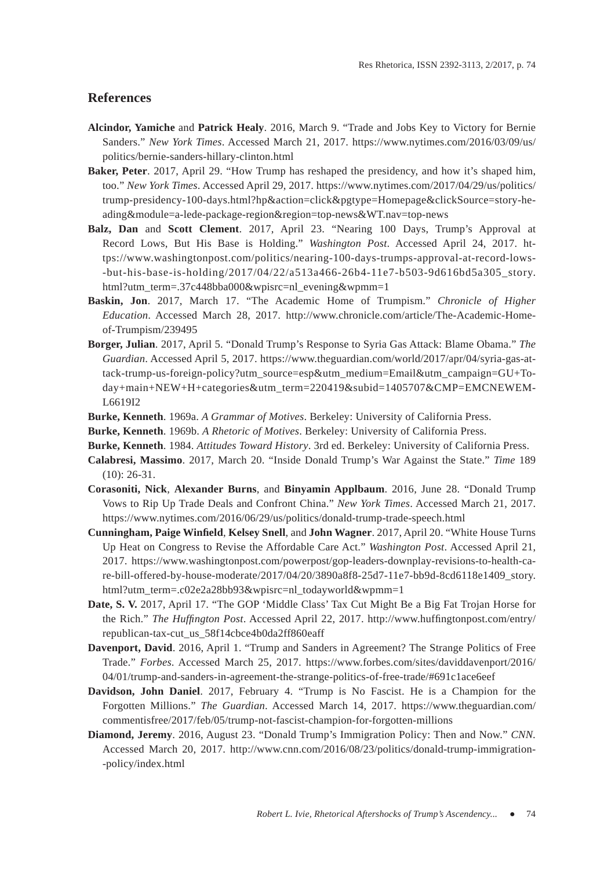#### **References**

- **Alcindor, Yamiche** and **Patrick Healy**. 2016, March 9. "Trade and Jobs Key to Victory for Bernie Sanders." *New York Times*. Accessed March 21, 2017. https://www.nytimes.com/2016/03/09/us/ politics/bernie-sanders-hillary-clinton.html
- **Baker, Peter**. 2017, April 29. "How Trump has reshaped the presidency, and how it's shaped him, too." *New York Times*. Accessed April 29, 2017. https://www.nytimes.com/2017/04/29/us/politics/ trump-presidency-100-days.html?hp&action=click&pgtype=Homepage&clickSource=story-heading&module=a-lede-package-region&region=top-news&WT.nav=top-news
- **Balz, Dan** and **Scott Clement**. 2017, April 23. "Nearing 100 Days, Trump's Approval at Record Lows, But His Base is Holding." *Washington Post*. Accessed April 24, 2017. https://www.washingtonpost.com/politics/nearing-100-days-trumps-approval-at-record-lows- -but-his-base-is-holding/2017/04/22/a513a466-26b4-11e7-b503-9d616bd5a305\_story. html?utm\_term=.37c448bba000&wpisrc=nl\_evening&wpmm=1
- **Baskin, Jon**. 2017, March 17. "The Academic Home of Trumpism." *Chronicle of Higher Education*. Accessed March 28, 2017. http://www.chronicle.com/article/The-Academic-Homeof-Trumpism/239495
- **Borger, Julian**. 2017, April 5. "Donald Trump's Response to Syria Gas Attack: Blame Obama." *The Guardian*. Accessed April 5, 2017. https://www.theguardian.com/world/2017/apr/04/syria-gas-attack-trump-us-foreign-policy?utm\_source=esp&utm\_medium=Email&utm\_campaign=GU+Today+main+NEW+H+categories&utm\_term=220419&subid=1405707&CMP=EMCNEWEM-L6619I2
- **Burke, Kenneth**. 1969a. *A Grammar of Motives*. Berkeley: University of California Press.
- **Burke, Kenneth**. 1969b. *A Rhetoric of Motives*. Berkeley: University of California Press.
- **Burke, Kenneth**. 1984. *Attitudes Toward History*. 3rd ed. Berkeley: University of California Press.
- **Calabresi, Massimo**. 2017, March 20. "Inside Donald Trump's War Against the State." *Time* 189 (10): 26-31.
- **Corasoniti, Nick**, **Alexander Burns**, and **Binyamin Applbaum**. 2016, June 28. "Donald Trump Vows to Rip Up Trade Deals and Confront China." *New York Times*. Accessed March 21, 2017. https://www.nytimes.com/2016/06/29/us/politics/donald-trump-trade-speech.html
- **Cunningham, Paige Winfield, Kelsey Snell, and John Wagner. 2017, April 20. "White House Turns** Up Heat on Congress to Revise the Affordable Care Act." *Washington Post*. Accessed April 21, 2017. https://www.washingtonpost.com/powerpost/gop-leaders-downplay-revisions-to-health-care-bill-offered-by-house-moderate/2017/04/20/3890a8f8-25d7-11e7-bb9d-8cd6118e1409\_story. html?utm\_term=.c02e2a28bb93&wpisrc=nl\_todayworld&wpmm=1
- **Date, S. V.** 2017, April 17. "The GOP 'Middle Class' Tax Cut Might Be a Big Fat Trojan Horse for the Rich." *The Huffington Post.* Accessed April 22, 2017. http://www.huffingtonpost.com/entry/ republican-tax-cut\_us\_58f14cbce4b0da2ff860eaff
- **Davenport, David**. 2016, April 1. "Trump and Sanders in Agreement? The Strange Politics of Free Trade." *Forbes*. Accessed March 25, 2017. https://www.forbes.com/sites/daviddavenport/2016/ 04/01/trump-and-sanders-in-agreement-the-strange-politics-of-free-trade/#691c1ace6eef
- **Davidson, John Daniel**. 2017, February 4. "Trump is No Fascist. He is a Champion for the Forgotten Millions." *The Guardian*. Accessed March 14, 2017. https://www.theguardian.com/ commentisfree/2017/feb/05/trump-not-fascist-champion-for-forgotten-millions
- **Diamond, Jeremy**. 2016, August 23. "Donald Trump's Immigration Policy: Then and Now." *CNN.*  Accessed March 20, 2017. http://www.cnn.com/2016/08/23/politics/donald-trump-immigration- -policy/index.html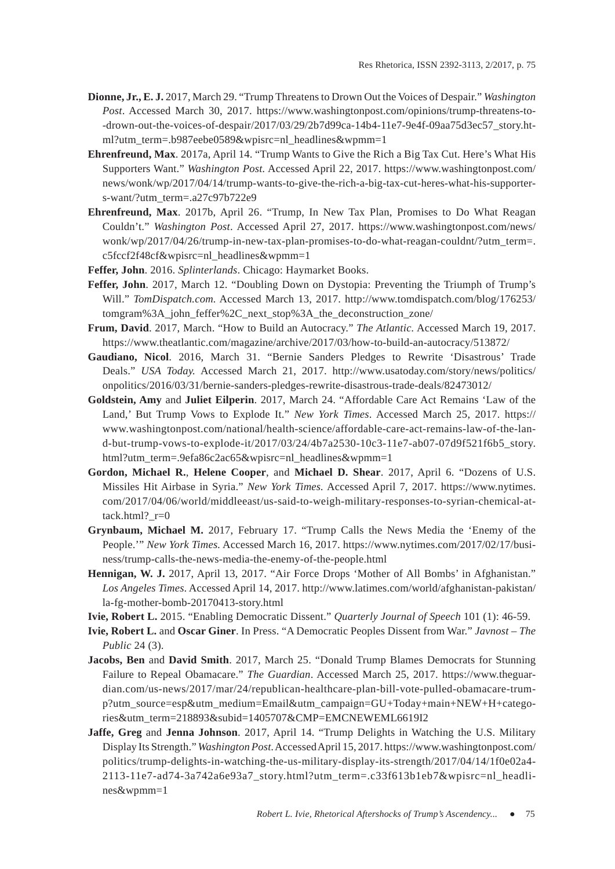- **Dionne, Jr., E. J.** 2017, March 29. "Trump Threatens to Drown Out the Voices of Despair." *Washington Post*. Accessed March 30, 2017. https://www.washingtonpost.com/opinions/trump-threatens-to- -drown-out-the-voices-of-despair/2017/03/29/2b7d99ca-14b4-11e7-9e4f-09aa75d3ec57\_story.html?utm\_term=.b987eebe0589&wpisrc=nl\_headlines&wpmm=1
- **Ehrenfreund, Max**. 2017a, April 14. "Trump Wants to Give the Rich a Big Tax Cut. Here's What His Supporters Want." *Washington Post.* Accessed April 22, 2017. https://www.washingtonpost.com/ news/wonk/wp/2017/04/14/trump-wants-to-give-the-rich-a-big-tax-cut-heres-what-his-supporters-want/?utm\_term=.a27c97b722e9
- **Ehrenfreund, Max**. 2017b, April 26. "Trump, In New Tax Plan, Promises to Do What Reagan Couldn't." *Washington Post*. Accessed April 27, 2017. https://www.washingtonpost.com/news/ wonk/wp/2017/04/26/trump-in-new-tax-plan-promises-to-do-what-reagan-couldnt/?utm\_term=. c5fccf2f48cf&wpisrc=nl\_headlines&wpmm=1
- **Feffer, John**. 2016. *Splinterlands*. Chicago: Haymarket Books.
- **Feffer, John**. 2017, March 12. "Doubling Down on Dystopia: Preventing the Triumph of Trump's Will." *TomDispatch.com.* Accessed March 13, 2017. http://www.tomdispatch.com/blog/176253/ tomgram%3A\_john\_feffer%2C\_next\_stop%3A\_the\_deconstruction\_zone/
- **Frum, David**. 2017, March. "How to Build an Autocracy." *The Atlantic.* Accessed March 19, 2017. https://www.theatlantic.com/magazine/archive/2017/03/how-to-build-an-autocracy/513872/
- **Gaudiano, Nicol**. 2016, March 31. "Bernie Sanders Pledges to Rewrite 'Disastrous' Trade Deals." *USA Today.* Accessed March 21, 2017. http://www.usatoday.com/story/news/politics/ onpolitics/2016/03/31/bernie-sanders-pledges-rewrite-disastrous-trade-deals/82473012/
- **Goldstein, Amy** and **Juliet Eilperin**. 2017, March 24. "Affordable Care Act Remains 'Law of the Land,' But Trump Vows to Explode It." *New York Times*. Accessed March 25, 2017. https:// www.washingtonpost.com/national/health-science/affordable-care-act-remains-law-of-the-land-but-trump-vows-to-explode-it/2017/03/24/4b7a2530-10c3-11e7-ab07-07d9f521f6b5\_story. html?utm\_term=.9efa86c2ac65&wpisrc=nl\_headlines&wpmm=1
- **Gordon, Michael R.**, **Helene Cooper**, and **Michael D. Shear**. 2017, April 6. "Dozens of U.S. Missiles Hit Airbase in Syria." *New York Times.* Accessed April 7, 2017. https://www.nytimes. com/2017/04/06/world/middleeast/us-said-to-weigh-military-responses-to-syrian-chemical-attack.html? $r=0$
- **Grynbaum, Michael M.** 2017, February 17. "Trump Calls the News Media the 'Enemy of the People.'" *New York Times.* Accessed March 16, 2017. https://www.nytimes.com/2017/02/17/business/trump-calls-the-news-media-the-enemy-of-the-people.html
- **Hennigan, W. J.** 2017, April 13, 2017. "Air Force Drops 'Mother of All Bombs' in Afghanistan." *Los Angeles Times*. Accessed April 14, 2017. http://www.latimes.com/world/afghanistan-pakistan/ la-fg-mother-bomb-20170413-story.html
- **Ivie, Robert L.** 2015. "Enabling Democratic Dissent." *Quarterly Journal of Speech* 101 (1): 46-59.
- **Ivie, Robert L.** and **Oscar Giner**. In Press. "A Democratic Peoples Dissent from War." *Javnost The Public* 24 (3).
- **Jacobs, Ben** and **David Smith**. 2017, March 25. "Donald Trump Blames Democrats for Stunning Failure to Repeal Obamacare." *The Guardian*. Accessed March 25, 2017. https://www.theguardian.com/us-news/2017/mar/24/republican-healthcare-plan-bill-vote-pulled-obamacare-trump?utm\_source=esp&utm\_medium=Email&utm\_campaign=GU+Today+main+NEW+H+categories&utm\_term=218893&subid=1405707&CMP=EMCNEWEML6619I2
- **Jaffe, Greg** and **Jenna Johnson**. 2017, April 14. "Trump Delights in Watching the U.S. Military Display Its Strength." *Washington Post.* Accessed April 15, 2017. https://www.washingtonpost.com/ politics/trump-delights-in-watching-the-us-military-display-its-strength/2017/04/14/1f0e02a4- 2113-11e7-ad74-3a742a6e93a7\_story.html?utm\_term=.c33f613b1eb7&wpisrc=nl\_headlines&wpmm=1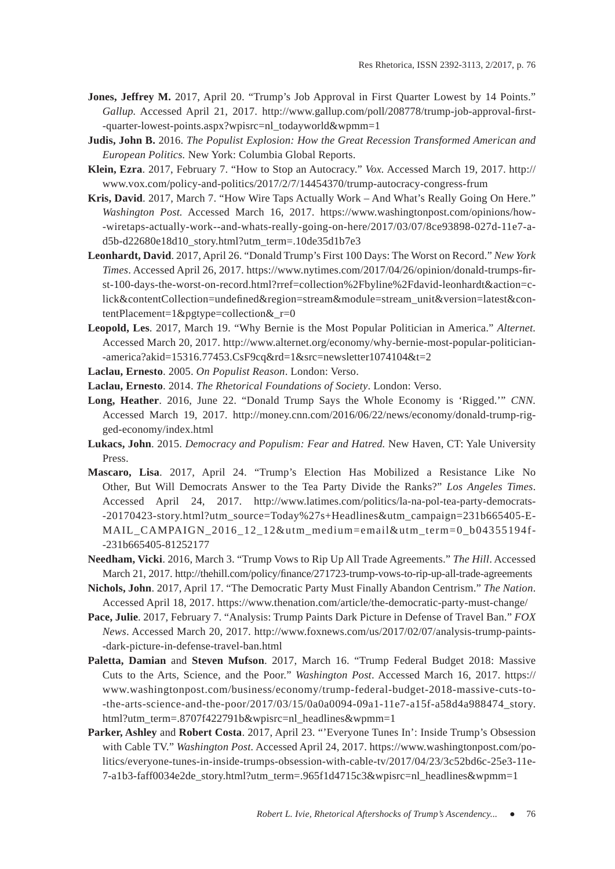- **Jones, Jeffrey M.** 2017, April 20. "Trump's Job Approval in First Quarter Lowest by 14 Points." Gallup. Accessed April 21, 2017. http://www.gallup.com/poll/208778/trump-job-approval-first--quarter-lowest-points.aspx?wpisrc=nl\_todayworld&wpmm=1
- **Judis, John B.** 2016. *The Populist Explosion: How the Great Recession Transformed American and European Politics.* New York: Columbia Global Reports.
- **Klein, Ezra**. 2017, February 7. "How to Stop an Autocracy." *Vox.* Accessed March 19, 2017. http:// www.vox.com/policy-and-politics/2017/2/7/14454370/trump-autocracy-congress-frum
- **Kris, David**. 2017, March 7. "How Wire Taps Actually Work And What's Really Going On Here." *Washington Post.* Accessed March 16, 2017. https://www.washingtonpost.com/opinions/how- -wiretaps-actually-work--and-whats-really-going-on-here/2017/03/07/8ce93898-027d-11e7-ad5b-d22680e18d10\_story.html?utm\_term=.10de35d1b7e3
- **Leonhardt, David**. 2017, April 26. "Donald Trump's First 100 Days: The Worst on Record." *New York Times*. Accessed April 26, 2017. https://www.nytimes.com/2017/04/26/opinion/donald-trumps-first-100-days-the-worst-on-record.html?rref=collection%2Fbyline%2Fdavid-leonhardt&action=click&contentCollection=undefined&region=stream&module=stream\_unit&version=latest&contentPlacement=1&pgtype=collection&\_r=0
- **Leopold, Les**. 2017, March 19. "Why Bernie is the Most Popular Politician in America." *Alternet.*  Accessed March 20, 2017. http://www.alternet.org/economy/why-bernie-most-popular-politician- -america?akid=15316.77453.CsF9cq&rd=1&src=newsletter1074104&t=2
- **Laclau, Ernesto**. 2005. *On Populist Reason*. London: Verso.
- **Laclau, Ernesto**. 2014. *The Rhetorical Foundations of Society*. London: Verso.
- **Long, Heather**. 2016, June 22. "Donald Trump Says the Whole Economy is 'Rigged.'" *CNN.*  Accessed March 19, 2017. http://money.cnn.com/2016/06/22/news/economy/donald-trump-rigged-economy/index.html
- **Lukacs, John**. 2015. *Democracy and Populism: Fear and Hatred.* New Haven, CT: Yale University Press.
- **Mascaro, Lisa**. 2017, April 24. "Trump's Election Has Mobilized a Resistance Like No Other, But Will Democrats Answer to the Tea Party Divide the Ranks?" *Los Angeles Times*. Accessed April 24, 2017. http://www.latimes.com/politics/la-na-pol-tea-party-democrats- -20170423-story.html?utm\_source=Today%27s+Headlines&utm\_campaign=231b665405-E-MAIL\_CAMPAIGN\_2016\_12\_12&utm\_medium=email&utm\_term=0\_b04355194f- -231b665405-81252177
- **Needham, Vicki**. 2016, March 3. "Trump Vows to Rip Up All Trade Agreements." *The Hill*. Accessed March 21, 2017. http://thehill.com/policy/finance/271723-trump-vows-to-rip-up-all-trade-agreements
- **Nichols, John**. 2017, April 17. "The Democratic Party Must Finally Abandon Centrism." *The Nation*. Accessed April 18, 2017. https://www.thenation.com/article/the-democratic-party-must-change/
- **Pace, Julie**. 2017, February 7. "Analysis: Trump Paints Dark Picture in Defense of Travel Ban." *FOX News*. Accessed March 20, 2017. http://www.foxnews.com/us/2017/02/07/analysis-trump-paints- -dark-picture-in-defense-travel-ban.html
- **Paletta, Damian** and **Steven Mufson**. 2017, March 16. "Trump Federal Budget 2018: Massive Cuts to the Arts, Science, and the Poor." *Washington Post*. Accessed March 16, 2017. https:// www.washingtonpost.com/business/economy/trump-federal-budget-2018-massive-cuts-to- -the-arts-science-and-the-poor/2017/03/15/0a0a0094-09a1-11e7-a15f-a58d4a988474\_story. html?utm\_term=.8707f422791b&wpisrc=nl\_headlines&wpmm=1
- **Parker, Ashley** and **Robert Costa**. 2017, April 23. "'Everyone Tunes In': Inside Trump's Obsession with Cable TV." *Washington Post.* Accessed April 24, 2017. https://www.washingtonpost.com/politics/everyone-tunes-in-inside-trumps-obsession-with-cable-tv/2017/04/23/3c52bd6c-25e3-11e-7-a1b3-faff0034e2de\_story.html?utm\_term=.965f1d4715c3&wpisrc=nl\_headlines&wpmm=1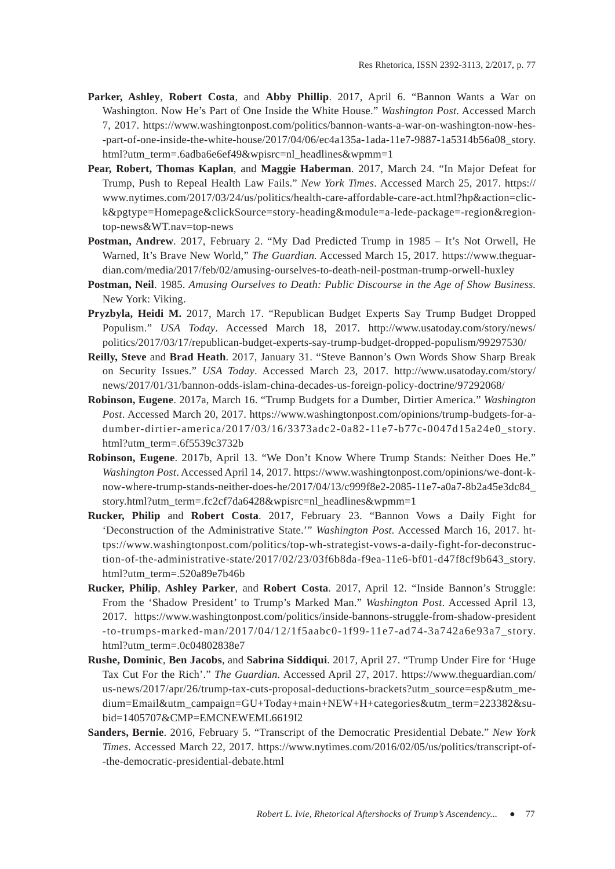- **Parker, Ashley**, **Robert Costa**, and **Abby Phillip**. 2017, April 6. "Bannon Wants a War on Washington. Now He's Part of One Inside the White House." *Washington Post*. Accessed March 7, 2017. https://www.washingtonpost.com/politics/bannon-wants-a-war-on-washington-now-hes- -part-of-one-inside-the-white-house/2017/04/06/ec4a135a-1ada-11e7-9887-1a5314b56a08\_story. html?utm\_term=.6adba6e6ef49&wpisrc=nl\_headlines&wpmm=1
- **Pear, Robert, Thomas Kaplan**, and **Maggie Haberman**. 2017, March 24. "In Major Defeat for Trump, Push to Repeal Health Law Fails." *New York Times*. Accessed March 25, 2017. https:// www.nytimes.com/2017/03/24/us/politics/health-care-affordable-care-act.html?hp&action=click&pgtype=Homepage&clickSource=story-heading&module=a-lede-package=-region&regiontop-news&WT.nav=top-news
- **Postman, Andrew**. 2017, February 2. "My Dad Predicted Trump in 1985 It's Not Orwell, He Warned, It's Brave New World," *The Guardian.* Accessed March 15, 2017. https://www.theguardian.com/media/2017/feb/02/amusing-ourselves-to-death-neil-postman-trump-orwell-huxley
- **Postman, Neil**. 1985. *Amusing Ourselves to Death: Public Discourse in the Age of Show Business.* New York: Viking.
- **Pryzbyla, Heidi M.** 2017, March 17. "Republican Budget Experts Say Trump Budget Dropped Populism." *USA Today*. Accessed March 18, 2017. http://www.usatoday.com/story/news/ politics/2017/03/17/republican-budget-experts-say-trump-budget-dropped-populism/99297530/
- **Reilly, Steve** and **Brad Heath**. 2017, January 31. "Steve Bannon's Own Words Show Sharp Break on Security Issues." *USA Today*. Accessed March 23, 2017. http://www.usatoday.com/story/ news/2017/01/31/bannon-odds-islam-china-decades-us-foreign-policy-doctrine/97292068/
- **Robinson, Eugene**. 2017a, March 16. "Trump Budgets for a Dumber, Dirtier America." *Washington Post*. Accessed March 20, 2017. https://www.washingtonpost.com/opinions/trump-budgets-for-adumber-dirtier-america/2017/03/16/3373adc2-0a82-11e7-b77c-0047d15a24e0\_story. html?utm\_term=.6f5539c3732b
- **Robinson, Eugene**. 2017b, April 13. "We Don't Know Where Trump Stands: Neither Does He." *Washington Post*. Accessed April 14, 2017. https://www.washingtonpost.com/opinions/we-dont-know-where-trump-stands-neither-does-he/2017/04/13/c999f8e2-2085-11e7-a0a7-8b2a45e3dc84\_ story.html?utm\_term=.fc2cf7da6428&wpisrc=nl\_headlines&wpmm=1
- **Rucker, Philip** and **Robert Costa**. 2017, February 23. "Bannon Vows a Daily Fight for 'Deconstruction of the Administrative State.'" *Washington Post.* Accessed March 16, 2017. https://www.washingtonpost.com/politics/top-wh-strategist-vows-a-daily-fight-for-deconstruction-of-the-administrative-state/2017/02/23/03f6b8da-f9ea-11e6-bf01-d47f8cf9b643\_story. html?utm\_term=.520a89e7b46b
- **Rucker, Philip**, **Ashley Parker**, and **Robert Costa**. 2017, April 12. "Inside Bannon's Struggle: From the 'Shadow President' to Trump's Marked Man." *Washington Post*. Accessed April 13, 2017. https://www.washingtonpost.com/politics/inside-bannons-struggle-from-shadow-president -to-trumps-marked-man/2017/04/12/1f5aabc0-1f99-11e7-ad74-3a742a6e93a7\_story. html?utm\_term=.0c04802838e7
- **Rushe, Dominic**, **Ben Jacobs**, and **Sabrina Siddiqui**. 2017, April 27. "Trump Under Fire for 'Huge Tax Cut For the Rich'." *The Guardian.* Accessed April 27, 2017. https://www.theguardian.com/ us-news/2017/apr/26/trump-tax-cuts-proposal-deductions-brackets?utm\_source=esp&utm\_medium=Email&utm\_campaign=GU+Today+main+NEW+H+categories&utm\_term=223382&subid=1405707&CMP=EMCNEWEML6619I2
- **Sanders, Bernie**. 2016, February 5. "Transcript of the Democratic Presidential Debate." *New York Times*. Accessed March 22, 2017. https://www.nytimes.com/2016/02/05/us/politics/transcript-of- -the-democratic-presidential-debate.html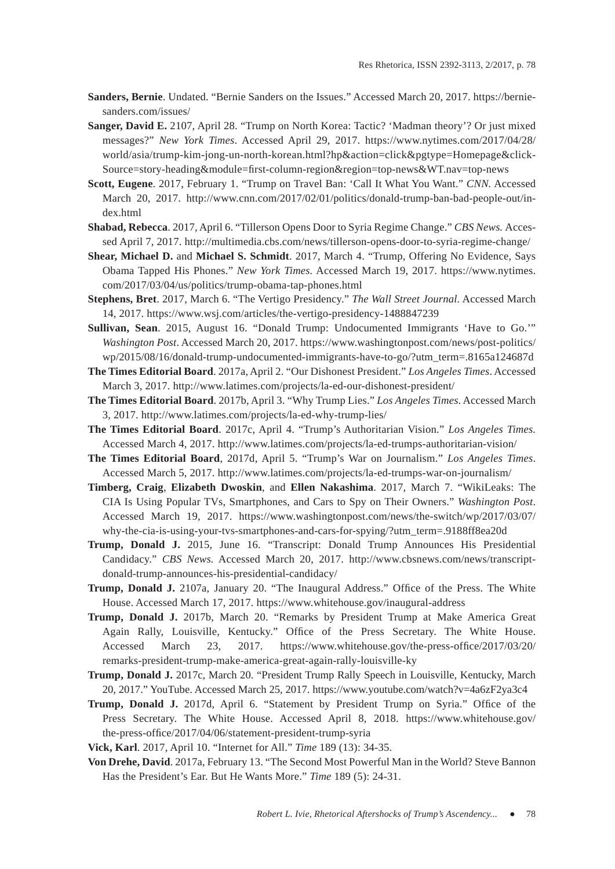- **Sanders, Bernie**. Undated. "Bernie Sanders on the Issues." Accessed March 20, 2017. https://berniesanders.com/issues/
- **Sanger, David E.** 2107, April 28. "Trump on North Korea: Tactic? 'Madman theory'? Or just mixed messages?" *New York Times*. Accessed April 29, 2017. https://www.nytimes.com/2017/04/28/ world/asia/trump-kim-jong-un-north-korean.html?hp&action=click&pgtype=Homepage&click-Source=story-heading&module=first-column-region&region=top-news&WT.nav=top-news
- **Scott, Eugene**. 2017, February 1. "Trump on Travel Ban: 'Call It What You Want." *CNN.* Accessed March 20, 2017. http://www.cnn.com/2017/02/01/politics/donald-trump-ban-bad-people-out/index.html
- **Shabad, Rebecca**. 2017, April 6. "Tillerson Opens Door to Syria Regime Change." *CBS News.* Accessed April 7, 2017. http://multimedia.cbs.com/news/tillerson-opens-door-to-syria-regime-change/
- **Shear, Michael D.** and **Michael S. Schmidt**. 2017, March 4. "Trump, Offering No Evidence, Says Obama Tapped His Phones." *New York Times.* Accessed March 19, 2017. https://www.nytimes. com/2017/03/04/us/politics/trump-obama-tap-phones.html
- **Stephens, Bret**. 2017, March 6. "The Vertigo Presidency." *The Wall Street Journal.* Accessed March 14, 2017. https://www.wsj.com/articles/the-vertigo-presidency-1488847239
- **Sullivan, Sean**. 2015, August 16. "Donald Trump: Undocumented Immigrants 'Have to Go.'" *Washington Post*. Accessed March 20, 2017. https://www.washingtonpost.com/news/post-politics/ wp/2015/08/16/donald-trump-undocumented-immigrants-have-to-go/?utm\_term=.8165a124687d
- **The Times Editorial Board**. 2017a, April 2. "Our Dishonest President." *Los Angeles Times*. Accessed March 3, 2017. http://www.latimes.com/projects/la-ed-our-dishonest-president/
- **The Times Editorial Board**. 2017b, April 3. "Why Trump Lies." *Los Angeles Times*. Accessed March 3, 2017. http://www.latimes.com/projects/la-ed-why-trump-lies/
- **The Times Editorial Board**. 2017c, April 4. "Trump's Authoritarian Vision." *Los Angeles Times.*  Accessed March 4, 2017. http://www.latimes.com/projects/la-ed-trumps-authoritarian-vision/
- **The Times Editorial Board**, 2017d, April 5. "Trump's War on Journalism." *Los Angeles Times*. Accessed March 5, 2017. http://www.latimes.com/projects/la-ed-trumps-war-on-journalism/
- **Timberg, Craig**, **Elizabeth Dwoskin**, and **Ellen Nakashima**. 2017, March 7. "WikiLeaks: The CIA Is Using Popular TVs, Smartphones, and Cars to Spy on Their Owners." *Washington Post*. Accessed March 19, 2017. https://www.washingtonpost.com/news/the-switch/wp/2017/03/07/ why-the-cia-is-using-your-tvs-smartphones-and-cars-for-spying/?utm\_term=.9188ff8ea20d
- **Trump, Donald J.** 2015, June 16. "Transcript: Donald Trump Announces His Presidential Candidacy." *CBS News.* Accessed March 20, 2017. http://www.cbsnews.com/news/transcriptdonald-trump-announces-his-presidential-candidacy/
- Trump, Donald J. 2107a, January 20. "The Inaugural Address." Office of the Press. The White House. Accessed March 17, 2017. https://www.whitehouse.gov/inaugural-address
- **Trump, Donald J.** 2017b, March 20. "Remarks by President Trump at Make America Great Again Rally, Louisville, Kentucky." Office of the Press Secretary. The White House. Accessed March 23, 2017. https://www.whitehouse.gov/the-press-office/2017/03/20/ remarks-president-trump-make-america-great-again-rally-louisville-ky
- **Trump, Donald J.** 2017c, March 20. "President Trump Rally Speech in Louisville, Kentucky, March 20, 2017." YouTube. Accessed March 25, 2017. https://www.youtube.com/watch?v=4a6zF2ya3c4
- **Trump, Donald J.** 2017d, April 6. "Statement by President Trump on Syria." Office of the Press Secretary. The White House. Accessed April 8, 2018. https://www.whitehouse.gov/ the-press-office/2017/04/06/statement-president-trump-syria
- **Vick, Karl**. 2017, April 10. "Internet for All." *Time* 189 (13): 34-35.
- **Von Drehe, David**. 2017a, February 13. "The Second Most Powerful Man in the World? Steve Bannon Has the President's Ear. But He Wants More." *Time* 189 (5): 24-31.